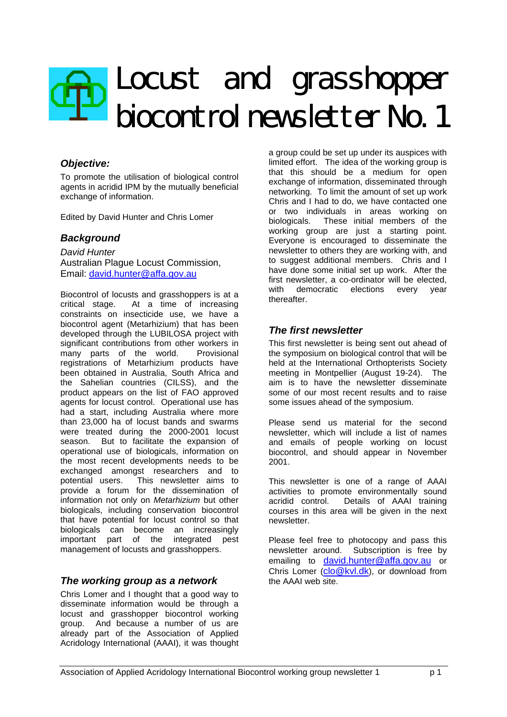# Locust and grasshopper biocontrol newsletter No. 1

## *Objective:*

To promote the utilisation of biological control agents in acridid IPM by the mutually beneficial exchange of information.

Edited by David Hunter and Chris Lomer

## *Background*

*David Hunter* Australian Plague Locust Commission, Email: david.hunter@affa.gov.au

Biocontrol of locusts and grasshoppers is at a critical stage. At a time of increasing constraints on insecticide use, we have a biocontrol agent (Metarhizium) that has been developed through the LUBILOSA project with significant contributions from other workers in many parts of the world. Provisional registrations of Metarhizium products have been obtained in Australia, South Africa and the Sahelian countries (CILSS), and the product appears on the list of FAO approved agents for locust control. Operational use has had a start, including Australia where more than 23,000 ha of locust bands and swarms were treated during the 2000-2001 locust season. But to facilitate the expansion of operational use of biologicals, information on the most recent developments needs to be exchanged amongst researchers and to potential users. This newsletter aims to provide a forum for the dissemination of information not only on *Metarhizium* but other biologicals, including conservation biocontrol that have potential for locust control so that biologicals can become an increasingly important part of the integrated pest management of locusts and grasshoppers.

## *The working group as a network*

Chris Lomer and I thought that a good way to disseminate information would be through a locust and grasshopper biocontrol working group. And because a number of us are already part of the Association of Applied Acridology International (AAAI), it was thought

a group could be set up under its auspices with limited effort. The idea of the working group is that this should be a medium for open exchange of information, disseminated through networking. To limit the amount of set up work Chris and I had to do, we have contacted one or two individuals in areas working on biologicals. These initial members of the working group are just a starting point. Everyone is encouraged to disseminate the newsletter to others they are working with, and to suggest additional members. Chris and I have done some initial set up work. After the first newsletter, a co-ordinator will be elected, with democratic elections every year thereafter.

## *The first newsletter*

This first newsletter is being sent out ahead of the symposium on biological control that will be held at the International Orthopterists Society meeting in Montpellier (August 19-24). The aim is to have the newsletter disseminate some of our most recent results and to raise some issues ahead of the symposium.

Please send us material for the second newsletter, which will include a list of names and emails of people working on locust biocontrol, and should appear in November 2001.

This newsletter is one of a range of AAAI activities to promote environmentally sound acridid control. Details of AAAI training courses in this area will be given in the next newsletter.

Please feel free to photocopy and pass this newsletter around. Subscription is free by emailing to david.hunter@affa.gov.au or Chris Lomer (clo@kvl.dk), or download from the AAAI web site.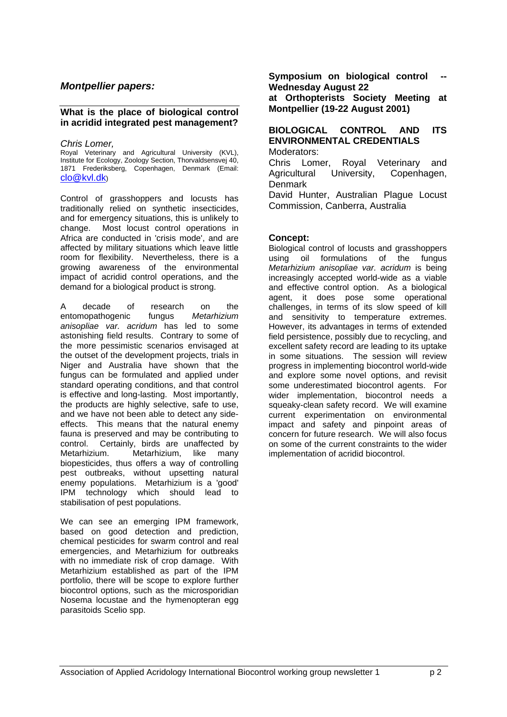## *Montpellier papers:*

#### **What is the place of biological control in acridid integrated pest management?**

#### *Chris Lomer,*

Royal Veterinary and Agricultural University (KVL), Institute for Ecology, Zoology Section, Thorvaldsensvej 40, 1871 Frederiksberg, Copenhagen, Denmark (Email: clo@kvl.dk)

Control of grasshoppers and locusts has traditionally relied on synthetic insecticides, and for emergency situations, this is unlikely to change. Most locust control operations in Africa are conducted in 'crisis mode', and are affected by military situations which leave little room for flexibility. Nevertheless, there is a growing awareness of the environmental impact of acridid control operations, and the demand for a biological product is strong.

A decade of research on the entomopathogenic fungus *Metarhizium anisopliae var. acridum* has led to some astonishing field results. Contrary to some of the more pessimistic scenarios envisaged at the outset of the development projects, trials in Niger and Australia have shown that the fungus can be formulated and applied under standard operating conditions, and that control is effective and long-lasting. Most importantly, the products are highly selective, safe to use, and we have not been able to detect any sideeffects. This means that the natural enemy fauna is preserved and may be contributing to control. Certainly, birds are unaffected by Metarhizium. Metarhizium, like many biopesticides, thus offers a way of controlling pest outbreaks, without upsetting natural enemy populations. Metarhizium is a 'good' IPM technology which should lead to stabilisation of pest populations.

We can see an emerging IPM framework, based on good detection and prediction, chemical pesticides for swarm control and real emergencies, and Metarhizium for outbreaks with no immediate risk of crop damage. With Metarhizium established as part of the IPM portfolio, there will be scope to explore further biocontrol options, such as the microsporidian Nosema locustae and the hymenopteran egg parasitoids Scelio spp.

**Symposium on biological control Wednesday August 22**

**at Orthopterists Society Meeting at Montpellier (19-22 August 2001)**

#### **BIOLOGICAL CONTROL AND ITS ENVIRONMENTAL CREDENTIALS** Moderators:

Chris Lomer, Royal Veterinary and Agricultural University, Copenhagen, Denmark

David Hunter, Australian Plague Locust Commission, Canberra, Australia

## **Concept:**

Biological control of locusts and grasshoppers using oil formulations of the fungus *Metarhizium anisopliae var. acridum* is being increasingly accepted world-wide as a viable and effective control option. As a biological agent, it does pose some operational challenges, in terms of its slow speed of kill and sensitivity to temperature extremes. However, its advantages in terms of extended field persistence, possibly due to recycling, and excellent safety record are leading to its uptake in some situations. The session will review progress in implementing biocontrol world-wide and explore some novel options, and revisit some underestimated biocontrol agents. For wider implementation, biocontrol needs a squeaky-clean safety record. We will examine current experimentation on environmental impact and safety and pinpoint areas of concern for future research. We will also focus on some of the current constraints to the wider implementation of acridid biocontrol.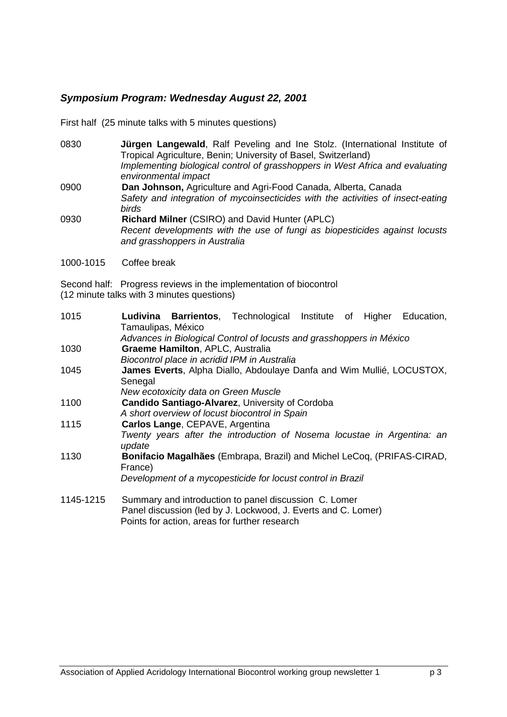# *Symposium Program: Wednesday August 22, 2001*

First half (25 minute talks with 5 minutes questions)

- 0830 **Jürgen Langewald**, Ralf Peveling and Ine Stolz. (International Institute of Tropical Agriculture, Benin; University of Basel, Switzerland) *Implementing biological control of grasshoppers in West Africa and evaluating environmental impact* 0900 **Dan Johnson,** Agriculture and Agri-Food Canada, Alberta, Canada *Safety and integration of mycoinsecticides with the activities of insect-eating birds* 0930 **Richard Milner** (CSIRO) and David Hunter (APLC)
	- *Recent developments with the use of fungi as biopesticides against locusts and grasshoppers in Australia*
- 1000-1015 Coffee break

Second half: Progress reviews in the implementation of biocontrol (12 minute talks with 3 minutes questions)

| 1015      | Ludivina Barrientos, Technological Institute of Higher<br>Education,<br>Tamaulipas, México |  |  |  |
|-----------|--------------------------------------------------------------------------------------------|--|--|--|
|           | Advances in Biological Control of locusts and grasshoppers in México                       |  |  |  |
| 1030      | Graeme Hamilton, APLC, Australia                                                           |  |  |  |
|           | Biocontrol place in acridid IPM in Australia                                               |  |  |  |
| 1045      | James Everts, Alpha Diallo, Abdoulaye Danfa and Wim Mullié, LOCUSTOX,                      |  |  |  |
|           | Senegal                                                                                    |  |  |  |
|           | New ecotoxicity data on Green Muscle                                                       |  |  |  |
| 1100      | Candido Santiago-Alvarez, University of Cordoba                                            |  |  |  |
|           | A short overview of locust biocontrol in Spain                                             |  |  |  |
| 1115      | Carlos Lange, CEPAVE, Argentina                                                            |  |  |  |
|           | Twenty years after the introduction of Nosema locustae in Argentina: an<br>update          |  |  |  |
| 1130      | Bonifacio Magalhães (Embrapa, Brazil) and Michel LeCoq, (PRIFAS-CIRAD,<br>France)          |  |  |  |
|           | Development of a mycopesticide for locust control in Brazil                                |  |  |  |
|           |                                                                                            |  |  |  |
| 1145-1215 | Summary and introduction to panel discussion C. Lomer                                      |  |  |  |
|           | Panel discussion (led by J. Lockwood, J. Everts and C. Lomer)                              |  |  |  |

Points for action, areas for further research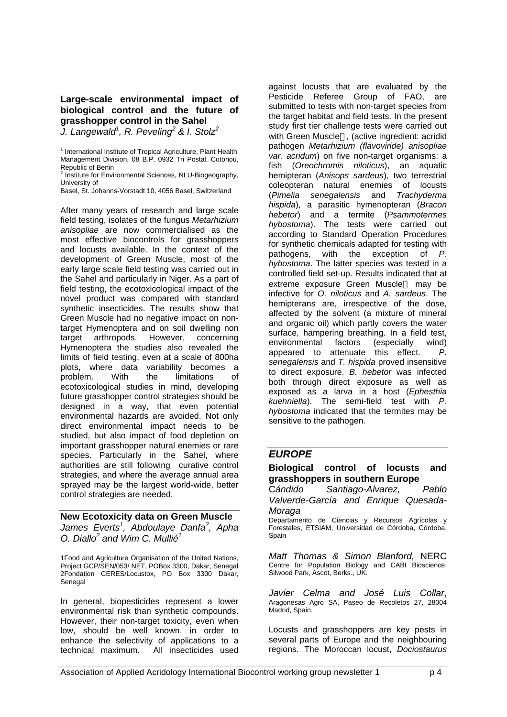**Large-scale environmental impact of biological control and the future of grasshopper control in the Sahel**

*J. Langewald<sup>1</sup> , R. Peveling<sup>2</sup> & I. Stolz<sup>2</sup>*

<sup>2</sup> Institute for Environmental Sciences, NLU-Biogeography, University of

Basel, St. Johanns-Vorstadt 10, 4056 Basel, Switzerland

After many years of research and large scale field testing, isolates of the fungus *Metarhizium anisopliae* are now commercialised as the most effective biocontrols for grasshoppers and locusts available. In the context of the development of Green Muscle, most of the early large scale field testing was carried out in the Sahel and particularly in Niger. As a part of field testing, the ecotoxicological impact of the novel product was compared with standard synthetic insecticides. The results show that Green Muscle had no negative impact on nontarget Hymenoptera and on soil dwelling non target arthropods. However, concerning Hymenoptera the studies also revealed the limits of field testing, even at a scale of 800ha plots, where data variability becomes a problem. With the limitations of ecotoxicological studies in mind, developing future grasshopper control strategies should be designed in a way, that even potential environmental hazards are avoided. Not only direct environmental impact needs to be studied, but also impact of food depletion on important grasshopper natural enemies or rare species. Particularly in the Sahel, where authorities are still following curative control strategies, and where the average annual area sprayed may be the largest world-wide, better control strategies are needed.

# **New Ecotoxicity data on Green Muscle** *James Everts<sup>1</sup> , Abdoulaye Danfa<sup>2</sup> , Apha*

*O. Diallo<sup>2</sup> and Wim C. Mullié<sup>1</sup>*

1Food and Agriculture Organisation of the United Nations, Project GCP/SEN/053/ NET, POBox 3300, Dakar, Senegal 2Fondation CERES/Locustox, PO Box 3300 Dakar, Senegal

In general, biopesticides represent a lower environmental risk than synthetic compounds. However, their non-target toxicity, even when low, should be well known, in order to enhance the selectivity of applications to a technical maximum. All insecticides used

against locusts that are evaluated by the Pesticide Referee Group of FAO, are submitted to tests with non-target species from the target habitat and field tests. In the present study first tier challenge tests were carried out with Green Muscle®, (active ingredient: acridid pathogen *Metarhizium (flavoviride) anisopliae var. acridum*) on five non-target organisms: a fish (*Oreochromis niloticus*), an aquatic hemipteran (*Anisops sardeus*), two terrestrial coleopteran natural enemies of locusts<br>(Pimelia senegalensis and Trachyderma (*Pimelia senegalensis* and *hispida*), a parasitic hymenopteran (*Bracon hebetor*) and a termite (*Psammotermes hybostoma*). The tests were carried out according to Standard Operation Procedures for synthetic chemicals adapted for testing with pathogens, with the exception of *P. hybostoma*. The latter species was tested in a controlled field set-up. Results indicated that at extreme exposure Green Muscle<sup>®</sup> may be infective for *O. niloticus* and *A. sardeus*. The hemipterans are, irrespective of the dose, affected by the solvent (a mixture of mineral and organic oil) which partly covers the water surface, hampering breathing. In a field test, environmental factors (especially wind) appeared to attenuate this effect. *P. senegalensis* and *T. hispida* proved insensitive to direct exposure. *B. hebetor* was infected both through direct exposure as well as exposed as a larva in a host (*Ephesthia kuehniella*). The semi-field test with *P. hybostoma* indicated that the termites may be sensitive to the pathogen.

## *EUROPE*

## **Biological control of locusts and grasshoppers in southern Europe**

C*ándido Santiago-Alvarez, Pablo Valverde-García and Enrique Quesada-Moraga*

Departamento de Ciencias y Recursos Agrícolas y Forestales, ETSIAM, Universidad de Córdoba, Córdoba, Spain

*Matt Thomas & Simon Blanford,* NERC Centre for Population Biology and CABI Bioscience, Silwood Park, Ascot, Berks., UK.

*Javier Celma and José Luis Collar*, Aragonesas Agro SA, Paseo de Recoletos 27, 28004 Madrid, Spain.

Locusts and grasshoppers are key pests in several parts of Europe and the neighbouring regions. The Moroccan locust, *Dociostaurus*

<sup>&</sup>lt;sup>1</sup> International Institute of Tropical Agriculture, Plant Health Management Division, 08 B.P. 0932 Tri Postal, Cotonou, Republic of Benin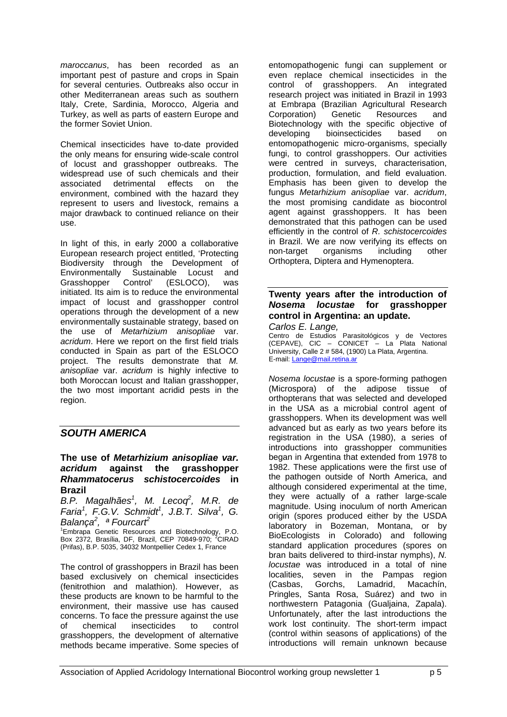*maroccanus*, has been recorded as an important pest of pasture and crops in Spain for several centuries. Outbreaks also occur in other Mediterranean areas such as southern Italy, Crete, Sardinia, Morocco, Algeria and Turkey, as well as parts of eastern Europe and the former Soviet Union.

Chemical insecticides have to-date provided the only means for ensuring wide-scale control of locust and grasshopper outbreaks. The widespread use of such chemicals and their associated detrimental effects on the environment, combined with the hazard they represent to users and livestock, remains a major drawback to continued reliance on their use.

In light of this, in early 2000 a collaborative European research project entitled, 'Protecting Biodiversity through the Development of Environmentally Sustainable Locust and Grasshopper Control' (ESLOCO), was initiated. Its aim is to reduce the environmental impact of locust and grasshopper control operations through the development of a new environmentally sustainable strategy, based on the use of *Metarhizium anisopliae* var. *acridum*. Here we report on the first field trials conducted in Spain as part of the ESLOCO project. The results demonstrate that *M. anisopliae* var. *acridum* is highly infective to both Moroccan locust and Italian grasshopper, the two most important acridid pests in the region.

## *SOUTH AMERICA*

#### **The use of** *Metarhizium anisopliae var. acridum* **against the grasshopper** *Rhammatocerus schistocercoides* **in Brazil**

*B.P. Magalhães<sup>1</sup> , M. Lecoq<sup>2</sup> , M.R. de Faria<sup>1</sup> , F.G.V. Schmidt<sup>1</sup> , J.B.T. Silva<sup>1</sup> , G. Balança<sup>2</sup> , ª Fourcart<sup>2</sup>*

<sup>1</sup>Embrapa Genetic Resources and Biotechnology, P.O. Box 2372, Brasília, DF, Brazil, CEP 70849-970; <sup>2</sup>CIRAD (Prifas), B.P. 5035, 34032 Montpellier Cedex 1, France

The control of grasshoppers in Brazil has been based exclusively on chemical insecticides (fenitrothion and malathion). However, as these products are known to be harmful to the environment, their massive use has caused concerns. To face the pressure against the use of chemical insecticides to control grasshoppers, the development of alternative methods became imperative. Some species of

entomopathogenic fungi can supplement or even replace chemical insecticides in the control of grasshoppers. An integrated research project was initiated in Brazil in 1993 at Embrapa (Brazilian Agricultural Research Corporation) Genetic Resources and Biotechnology with the specific objective of developing bioinsecticides based on entomopathogenic micro-organisms, specially fungi, to control grasshoppers. Our activities were centred in surveys, characterisation, production, formulation, and field evaluation. Emphasis has been given to develop the fungus *Metarhizium anisopliae* var. *acridum*, the most promising candidate as biocontrol agent against grasshoppers. It has been demonstrated that this pathogen can be used efficiently in the control of *R. schistocercoides* in Brazil. We are now verifying its effects on non-target organisms including other Orthoptera, Diptera and Hymenoptera.

## **Twenty years after the introduction of** *Nosema locustae* **for grasshopper control in Argentina: an update.**

*Carlos E. Lange,* Centro de Estudios Parasitológicos y de Vectores (CEPAVE), CIC – CONICET – La Plata National University, Calle 2 # 584, (1900) La Plata, Argentina. E-mail: Lange@mail.retina.ar

*Nosema locustae* is a spore-forming pathogen (Microspora) of the adipose tissue of orthopterans that was selected and developed in the USA as a microbial control agent of grasshoppers. When its development was well advanced but as early as two years before its registration in the USA (1980), a series of introductions into grasshopper communities began in Argentina that extended from 1978 to 1982. These applications were the first use of the pathogen outside of North America, and although considered experimental at the time, they were actually of a rather large-scale magnitude. Using inoculum of north American origin (spores produced either by the USDA laboratory in Bozeman, Montana, or by BioEcologists in Colorado) and following standard application procedures (spores on bran baits delivered to third-instar nymphs), *N. locustae* was introduced in a total of nine localities, seven in the Pampas region<br>(Casbas. Gorchs, Lamadrid, Macachín, Gorchs, Lamadrid, Macachín, Pringles, Santa Rosa, Suárez) and two in northwestern Patagonia (Gualjaina, Zapala). Unfortunately, after the last introductions the work lost continuity. The short-term impact (control within seasons of applications) of the introductions will remain unknown because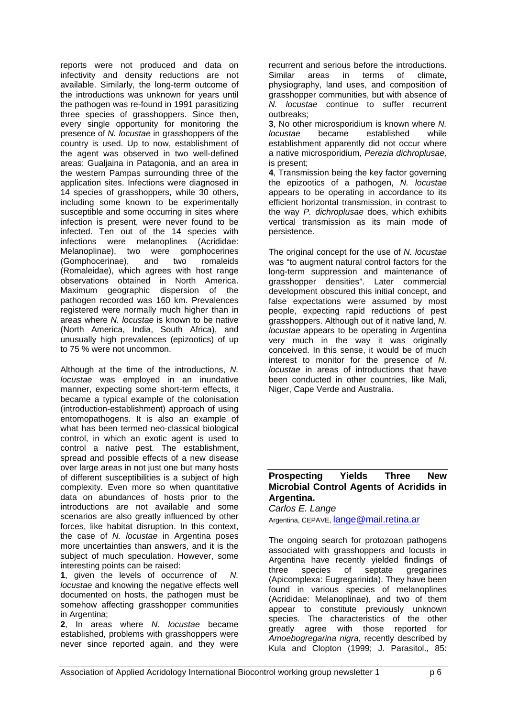reports were not produced and data on infectivity and density reductions are not available. Similarly, the long-term outcome of the introductions was unknown for years until the pathogen was re-found in 1991 parasitizing three species of grasshoppers. Since then, every single opportunity for monitoring the presence of *N. locustae* in grasshoppers of the country is used. Up to now, establishment of the agent was observed in two well-defined areas: Gualjaina in Patagonia, and an area in the western Pampas surrounding three of the application sites. Infections were diagnosed in 14 species of grasshoppers, while 30 others, including some known to be experimentally susceptible and some occurring in sites where infection is present, were never found to be infected. Ten out of the 14 species with infections were melanoplines (Acrididae: Melanoplinae), two were gomphocerines (Gomphocerinae), and two romaleids (Romaleidae), which agrees with host range observations obtained in North America. Maximum geographic dispersion of the pathogen recorded was 160 km. Prevalences registered were normally much higher than in areas where *N. locustae* is known to be native (North America, India, South Africa), and unusually high prevalences (epizootics) of up to 75 % were not uncommon.

Although at the time of the introductions, *N. locustae* was employed in an inundative manner, expecting some short-term effects, it became a typical example of the colonisation (introduction-establishment) approach of using entomopathogens. It is also an example of what has been termed neo-classical biological control, in which an exotic agent is used to control a native pest. The establishment, spread and possible effects of a new disease over large areas in not just one but many hosts of different susceptibilities is a subject of high complexity. Even more so when quantitative data on abundances of hosts prior to the introductions are not available and some scenarios are also greatly influenced by other forces, like habitat disruption. In this context, the case of *N. locustae* in Argentina poses more uncertainties than answers, and it is the subject of much speculation. However, some interesting points can be raised:

**1**, given the levels of occurrence of *N. locustae* and knowing the negative effects well documented on hosts, the pathogen must be somehow affecting grasshopper communities in Argentina:

**2**, In areas where *N. locustae* became established, problems with grasshoppers were never since reported again, and they were

recurrent and serious before the introductions. Similar areas in terms of climate, physiography, land uses, and composition of grasshopper communities, but with absence of *N. locustae* continue to suffer recurrent outbreaks;

**3**, No other microsporidium is known where *N. locustae* became established while establishment apparently did not occur where a native microsporidium, *Perezia dichroplusae,* is present;

**4**, Transmission being the key factor governing the epizootics of a pathogen, *N. locustae* appears to be operating in accordance to its efficient horizontal transmission, in contrast to the way *P. dichroplusae* does, which exhibits vertical transmission as its main mode of persistence.

The original concept for the use of *N. locustae* was "to augment natural control factors for the long-term suppression and maintenance of grasshopper densities". Later commercial development obscured this initial concept, and false expectations were assumed by most people, expecting rapid reductions of pest grasshoppers. Although out of it native land, *N. locustae* appears to be operating in Argentina very much in the way it was originally conceived. In this sense, it would be of much interest to monitor for the presence of *N. locustae* in areas of introductions that have been conducted in other countries, like Mali, Niger, Cape Verde and Australia.

## **Prospecting Yields Three New Microbial Control Agents of Acridids in Argentina.**

*Carlos E. Lange* Argentina, CEPAVE, lange@mail.retina.ar

The ongoing search for protozoan pathogens associated with grasshoppers and locusts in Argentina have recently yielded findings of three species of septate gregarines (Apicomplexa: Eugregarinida). They have been found in various species of melanoplines (Acrididae: Melanoplinae), and two of them appear to constitute previously unknown species. The characteristics of the other greatly agree with those reported for *Amoebogregarina nigra*, recently described by Kula and Clopton (1999; J. Parasitol., 85: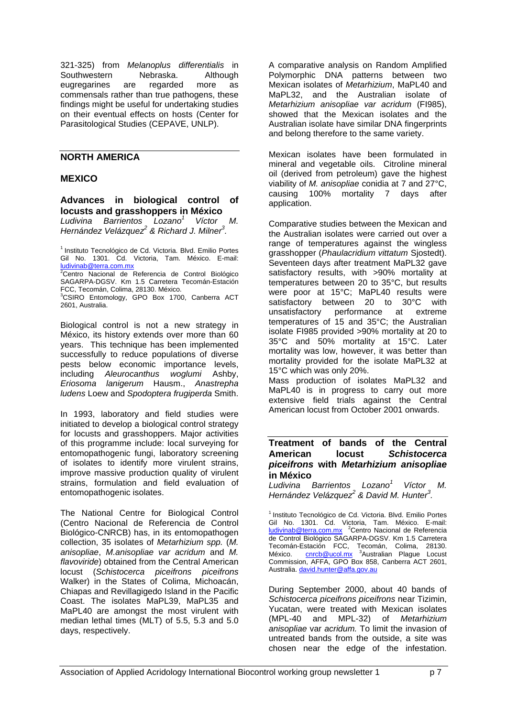321-325) from *Melanoplus differentialis* in Southwestern Nebraska. Although eugregarines are regarded more as commensals rather than true pathogens, these findings might be useful for undertaking studies on their eventual effects on hosts (Center for Parasitological Studies (CEPAVE, UNLP).

## **NORTH AMERICA**

#### **MEXICO**

**Advances in biological control of locusts and grasshoppers in México**<br>Ludivina Barrientos Lozano<sup>1</sup> Víctor M.

*Ludivina Barrientos Lozano<sup>1</sup> Hernández Velázquez<sup>2</sup> & Richard J. Milner<sup>3</sup> .*

<sup>1</sup> Instituto Tecnológico de Cd. Victoria. Blvd. Emilio Portes Gil No. 1301. Cd. Victoria, Tam. México. E-mail: ludivinab@terra.com.mx

2Centro Nacional de Referencia de Control Biológico SAGARPA-DGSV. Km 1.5 Carretera Tecomán-Estación FCC, Tecomán, Colima, 28130. México.

<sup>3</sup>CSIRO Entomology, GPO Box 1700, Canberra ACT 2601, Australia.

Biological control is not a new strategy in México, its history extends over more than 60 years. This technique has been implemented successfully to reduce populations of diverse pests below economic importance levels, including *Aleurocanthus woglumi* Ashby, *Eriosoma lanigerum* Hausm., *Anastrepha ludens* Loew and *Spodoptera frugiperda* Smith.

In 1993, laboratory and field studies were initiated to develop a biological control strategy for locusts and grasshoppers. Major activities of this programme include: local surveying for entomopathogenic fungi, laboratory screening of isolates to identify more virulent strains, improve massive production quality of virulent strains, formulation and field evaluation of entomopathogenic isolates.

The National Centre for Biological Control (Centro Nacional de Referencia de Control Biológico-CNRCB) has, in its entomopathogen collection, 35 isolates of *Metarhizium spp.* (*M. anisopliae*, *M.anisopliae var acridum* and *M. flavoviride*) obtained from the Central American locust (*Schistocerca piceifrons piceifrons* Walker) in the States of Colima, Michoacán, Chiapas and Revillagigedo Island in the Pacific Coast. The isolates MaPL39, MaPL35 and MaPL40 are amongst the most virulent with median lethal times (MLT) of 5.5, 5.3 and 5.0 days, respectively.

A comparative analysis on Random Amplified Polymorphic DNA patterns between two Mexican isolates of *Metarhizium*, MaPL40 and MaPL32, and the Australian isolate of *Metarhizium anisopliae var acridum* (FI985), showed that the Mexican isolates and the Australian isolate have similar DNA fingerprints and belong therefore to the same variety.

Mexican isolates have been formulated in mineral and vegetable oils. Citroline mineral oil (derived from petroleum) gave the highest viability of *M. anisopliae* conidia at 7 and 27°C, causing 100% mortality 7 days after application.

Comparative studies between the Mexican and the Australian isolates were carried out over a range of temperatures against the wingless grasshopper (*Phaulacridium vittatum* Sjostedt). Seventeen days after treatment MaPL32 gave satisfactory results, with >90% mortality at temperatures between 20 to 35°C, but results were poor at 15°C; MaPL40 results were satisfactory between 20 to 30°C with unsatisfactory performance at extreme temperatures of 15 and 35°C; the Australian isolate FI985 provided >90% mortality at 20 to 35°C and 50% mortality at 15°C. Later mortality was low, however, it was better than mortality provided for the isolate MaPL32 at 15°C which was only 20%. Mass production of isolates MaPL32 and MaPL40 is in progress to carry out more extensive field trials against the Central

#### **Treatment of bands of the Central American locust** *Schistocerca piceifrons* **with** *Metarhizium anisopliae* **in México**

American locust from October 2001 onwards.

*Ludivina Barrientos Lozano<sup>1</sup>Víctor M. Hernández Velázquez<sup>2</sup> & David M. Hunter<sup>3</sup> .*

<sup>1</sup> Instituto Tecnológico de Cd. Victoria. Blvd. Emilio Portes Gil No. 1301. Cd. Victoria, Tam. México. E-mail: ludivinab@terra.com.mx <sup>2</sup>Centro Nacional de Referencia de Control Biológico SAGARPA-DGSV. Km 1.5 Carretera Tecomán-Estación FCC, Tecomán, Colima, 28130.<br>México. <u>cnrcb@ucol.mx</u> <sup>3</sup>Australian Plague Locust Commission, AFFA, GPO Box 858, Canberra ACT 2601, Australia. david.hunter@affa.gov.au

During September 2000, about 40 bands of *Schistocerca piceifrons piceifrons* near Tizimin, Yucatan, were treated with Mexican isolates (MPL-40 and MPL-32) of *Metarhizium anisopliae* var *acridum.* To limit the invasion of untreated bands from the outside, a site was chosen near the edge of the infestation.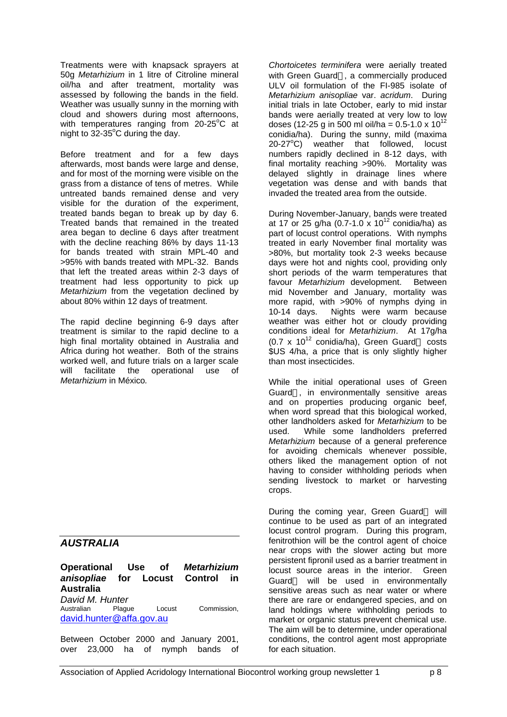Treatments were with knapsack sprayers at 50g *Metarhizium* in 1 litre of Citroline mineral oil/ha and after treatment, mortality was assessed by following the bands in the field. Weather was usually sunny in the morning with cloud and showers during most afternoons, with temperatures ranging from  $20-25^{\circ}$ C at night to  $32-35^{\circ}$ C during the day.

Before treatment and for a few days afterwards, most bands were large and dense, and for most of the morning were visible on the grass from a distance of tens of metres. While untreated bands remained dense and very visible for the duration of the experiment, treated bands began to break up by day 6. Treated bands that remained in the treated area began to decline 6 days after treatment with the decline reaching 86% by days 11-13 for bands treated with strain MPL-40 and >95% with bands treated with MPL-32. Bands that left the treated areas within 2-3 days of treatment had less opportunity to pick up *Metarhizium* from the vegetation declined by about 80% within 12 days of treatment.

The rapid decline beginning 6-9 days after treatment is similar to the rapid decline to a high final mortality obtained in Australia and Africa during hot weather. Both of the strains worked well, and future trials on a larger scale will facilitate the operational use of *Metarhizium* in México*.*

# *AUSTRALIA*

**Operational Use of** *Metarhizium anisopliae* **for Locust Control in Australia**

*David M. Hunter* Locust Commission, david.hunter@affa.gov.au

Between October 2000 and January 2001, over 23,000 ha of nymph bands of *Chortoicetes terminifera* were aerially treated with Green Guard®, a commercially produced ULV oil formulation of the FI-985 isolate of *Metarhizium anisopliae* var. *acridum*. During initial trials in late October, early to mid instar bands were aerially treated at very low to low doses (12-25 g in 500 ml oil/ha =  $0.5$ -1.0 x  $10^{12}$ conidia/ha). During the sunny, mild (maxima  $20-27^{\circ}C$ ) weather that followed, locust numbers rapidly declined in 8-12 days, with final mortality reaching >90%. Mortality was delayed slightly in drainage lines where vegetation was dense and with bands that invaded the treated area from the outside.

During November-January, bands were treated at 17 or 25 g/ha (0.7-1.0  $\times$  10<sup>12</sup> conidia/ha) as part of locust control operations. With nymphs treated in early November final mortality was >80%, but mortality took 2-3 weeks because days were hot and nights cool, providing only short periods of the warm temperatures that favour *Metarhizium* development. Between mid November and January, mortality was more rapid, with >90% of nymphs dying in 10-14 days. Nights were warm because weather was either hot or cloudy providing conditions ideal for *Metarhizium*. At 17g/ha  $(0.7 \times 10^{12} \text{ conidia/ha})$ . Green Guard @ costs \$US 4/ha, a price that is only slightly higher than most insecticides.

While the initial operational uses of Green Guard<sup>®</sup>, in environmentally sensitive areas and on properties producing organic beef, when word spread that this biological worked, other landholders asked for *Metarhizium* to be used. While some landholders preferred *Metarhizium* because of a general preference for avoiding chemicals whenever possible, others liked the management option of not having to consider withholding periods when sending livestock to market or harvesting crops.

During the coming year, Green Guard<sup>®</sup> will continue to be used as part of an integrated locust control program. During this program, fenitrothion will be the control agent of choice near crops with the slower acting but more persistent fipronil used as a barrier treatment in locust source areas in the interior. Green Guard<sup>®</sup> will be used in environmentally sensitive areas such as near water or where there are rare or endangered species, and on land holdings where withholding periods to market or organic status prevent chemical use. The aim will be to determine, under operational conditions, the control agent most appropriate for each situation.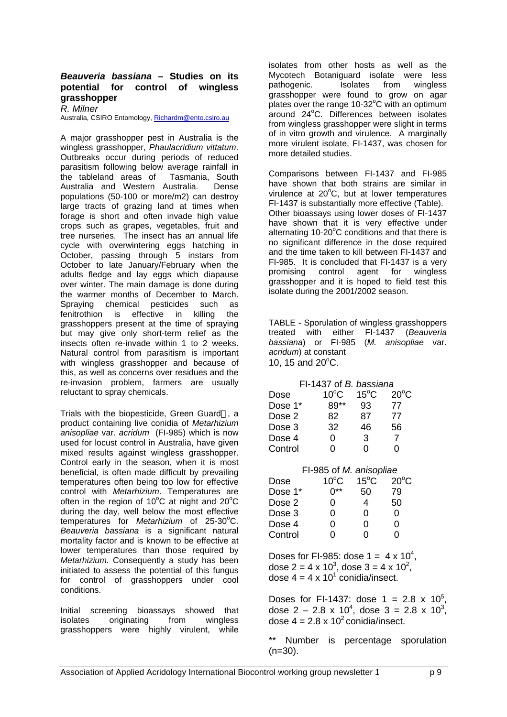#### *Beauveria bassiana* **– Studies on its potential for control of wingless grasshopper**

*R. Milner*

Australia, CSIRO Entomology, Richardm@ento.csiro.au

A major grasshopper pest in Australia is the wingless grasshopper, *Phaulacridium vittatum*. Outbreaks occur during periods of reduced parasitism following below average rainfall in the tableland areas of Tasmania, South Australia and Western Australia. Dense populations (50-100 or more/m2) can destroy large tracts of grazing land at times when forage is short and often invade high value crops such as grapes, vegetables, fruit and tree nurseries. The insect has an annual life cycle with overwintering eggs hatching in October, passing through 5 instars from October to late January/February when the adults fledge and lay eggs which diapause over winter. The main damage is done during the warmer months of December to March. Spraying chemical pesticides such as fenitrothion is effective in killing the grasshoppers present at the time of spraying but may give only short-term relief as the insects often re-invade within 1 to 2 weeks. Natural control from parasitism is important with wingless grasshopper and because of this, as well as concerns over residues and the re-invasion problem, farmers are usually reluctant to spray chemicals.

Trials with the biopesticide, Green Guard®, a product containing live conidia of *Metarhizium anisopliae* var. *acridum* (FI-985) which is now used for locust control in Australia, have given mixed results against wingless grasshopper. Control early in the season, when it is most beneficial, is often made difficult by prevailing temperatures often being too low for effective control with *Metarhizium*. Temperatures are often in the region of 10 $^{\circ}$ C at night and 20 $^{\circ}$ C during the day, well below the most effective temperatures for *Metarhizium* of 25-30°C. *Beauveria bassiana* is a significant natural mortality factor and is known to be effective at lower temperatures than those required by *Metarhizium.* Consequently a study has been initiated to assess the potential of this fungus for control of grasshoppers under cool conditions.

Initial screening bioassays showed that isolates originating from wingless grasshoppers were highly virulent, while

isolates from other hosts as well as the Mycotech Botaniguard isolate were less pathogenic. Isolates from wingless grasshopper were found to grow on agar plates over the range  $10-32^{\circ}$ C with an optimum around  $24^{\circ}$ C. Differences between isolates from wingless grasshopper were slight in terms of in vitro growth and virulence. A marginally more virulent isolate, FI-1437, was chosen for more detailed studies.

Comparisons between FI-1437 and FI-985 have shown that both strains are similar in virulence at  $20^{\circ}$ C, but at lower temperatures FI-1437 is substantially more effective (Table). Other bioassays using lower doses of FI-1437 have shown that it is very effective under alternating 10-20°C conditions and that there is no significant difference in the dose required and the time taken to kill between FI-1437 and FI-985. It is concluded that FI-1437 is a very promising control agent for wingless grasshopper and it is hoped to field test this isolate during the 2001/2002 season.

TABLE - Sporulation of wingless grasshoppers treated with either FI-1437 (*Beauveria bassiana*) or FI-985 (*M. anisopliae* var. *acridum*) at constant 10, 15 and  $20^{\circ}$ C.

| FI-1437 of B. bassiana  |                |                |                |  |
|-------------------------|----------------|----------------|----------------|--|
| Dose                    | $10^{\circ}$ C | $15^{\circ}$ C | $20^{\circ}$ C |  |
| Dose 1*                 | 89**           | 93             | 77             |  |
| Dose 2                  | 82.            | 87             | 77             |  |
| Dose 3                  | 32             | 46             | 56             |  |
| Dose 4                  | 0              | $\mathbf{3}$   | $\overline{7}$ |  |
| Control                 | 0              | 0              | 0              |  |
| FI-985 of M. anisopliae |                |                |                |  |
| Dose                    | $10^{\circ}$ C | $15^{\circ}$ C | $20^{\circ}$ C |  |
| Dose 1*                 | $0***$         | 50             | 79             |  |
| Dose 2                  | 0.             | 4              | 50             |  |
| Dose 3                  | 0.             | 0              | 0              |  |
| Dose 4                  | 0              | 0              | 0              |  |
| Control                 | 0              | 0              | 0              |  |

Doses for FI-985: dose  $1 = 4 \times 10^4$ , dose 2 = 4 x 10<sup>3</sup>, dose 3 = 4 x 10<sup>2</sup>, dose 4 = 4 x 10<sup>1</sup> conidia/insect.

Doses for FI-1437: dose  $1 = 2.8 \times 10^5$ , dose 2 – 2.8 x 10<sup>4</sup>, dose 3 = 2.8 x 10<sup>3</sup>, dose  $4 = 2.8 \times 10^2$  conidia/insect.

\*\* Number is percentage sporulation  $(n=30)$ .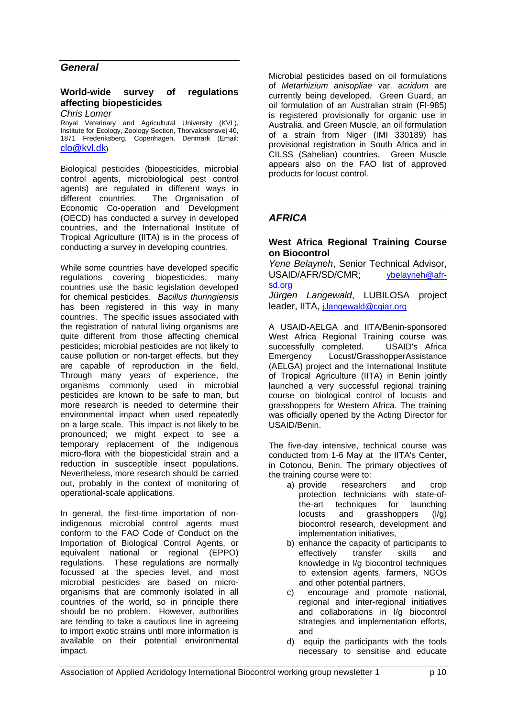## *General*

## **World-wide survey of regulations affecting biopesticides**

*Chris Lomer*

Royal Veterinary and Agricultural University (KVL), Institute for Ecology, Zoology Section, Thorvaldsensvej 40, 1871 Frederiksberg, Copenhagen, Denmark (Email: clo@kvl.dk)

Biological pesticides (biopesticides, microbial control agents, microbiological pest control agents) are regulated in different ways in different countries. The Organisation of Economic Co-operation and Development (OECD) has conducted a survey in developed countries, and the International Institute of Tropical Agriculture (IITA) is in the process of conducting a survey in developing countries.

While some countries have developed specific regulations covering biopesticides, many countries use the basic legislation developed for chemical pesticides. *Bacillus thuringiensis* has been registered in this way in many countries. The specific issues associated with the registration of natural living organisms are quite different from those affecting chemical pesticides; microbial pesticides are not likely to cause pollution or non-target effects, but they are capable of reproduction in the field. Through many years of experience, the organisms commonly used in microbial pesticides are known to be safe to man, but more research is needed to determine their environmental impact when used repeatedly on a large scale. This impact is not likely to be pronounced; we might expect to see a temporary replacement of the indigenous micro-flora with the biopesticidal strain and a reduction in susceptible insect populations. Nevertheless, more research should be carried out, probably in the context of monitoring of operational-scale applications.

In general, the first-time importation of nonindigenous microbial control agents must conform to the FAO Code of Conduct on the Importation of Biological Control Agents, or equivalent national or regional (EPPO) regulations. These regulations are normally focussed at the species level, and most microbial pesticides are based on microorganisms that are commonly isolated in all countries of the world, so in principle there should be no problem. However, authorities are tending to take a cautious line in agreeing to import exotic strains until more information is available on their potential environmental impact.

Microbial pesticides based on oil formulations of *Metarhizium anisopliae* var. *acridum* are currently being developed. Green Guard, an oil formulation of an Australian strain (FI-985) is registered provisionally for organic use in Australia, and Green Muscle, an oil formulation of a strain from Niger (IMI 330189) has provisional registration in South Africa and in CILSS (Sahelian) countries. Green Muscle appears also on the FAO list of approved products for locust control.

## *AFRICA*

#### **West Africa Regional Training Course on Biocontrol**

*Yene Belayneh*, Senior Technical Advisor, USAID/AFR/SD/CMR; ybelayneh@afrsd.org

*Jürgen Langewald*, LUBILOSA project leader, IITA, *i.langewald@cgiar.org* 

A USAID-AELGA and IITA/Benin-sponsored West Africa Regional Training course was successfully completed. USAID's Africa Emergency Locust/GrasshopperAssistance (AELGA) project and the International Institute of Tropical Agriculture (IITA) in Benin jointly launched a very successful regional training course on biological control of locusts and grasshoppers for Western Africa. The training was officially opened by the Acting Director for USAID/Benin.

The five-day intensive, technical course was conducted from 1-6 May at the IITA's Center, in Cotonou, Benin. The primary objectives of the training course were to:

- a) provide researchers and crop protection technicians with state-ofthe-art techniques for launching locusts and grasshoppers (l/g) biocontrol research, development and implementation initiatives,
- b) enhance the capacity of participants to effectively transfer skills and knowledge in l/g biocontrol techniques to extension agents, farmers, NGOs and other potential partners,
- c) encourage and promote national, regional and inter-regional initiatives and collaborations in l/g biocontrol strategies and implementation efforts, and
- d) equip the participants with the tools necessary to sensitise and educate